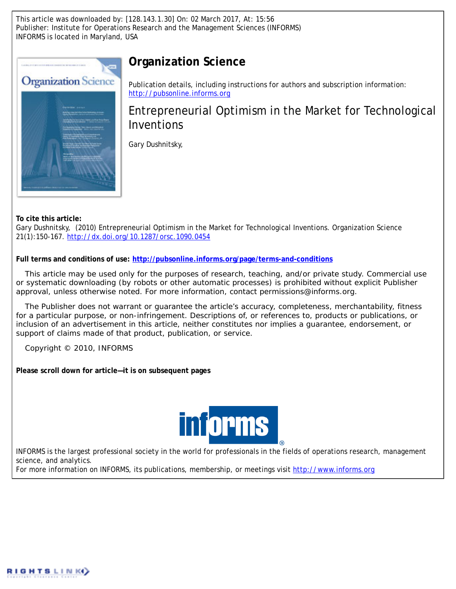This article was downloaded by: [128.143.1.30] On: 02 March 2017, At: 15:56 Publisher: Institute for Operations Research and the Management Sciences (INFORMS) INFORMS is located in Maryland, USA



# **Organization Science**

Publication details, including instructions for authors and subscription information: <http://pubsonline.informs.org>

Entrepreneurial Optimism in the Market for Technological Inventions

Gary Dushnitsky,

**To cite this article:**

Gary Dushnitsky, (2010) Entrepreneurial Optimism in the Market for Technological Inventions. Organization Science 21(1):150-167. <http://dx.doi.org/10.1287/orsc.1090.0454>

**Full terms and conditions of use: <http://pubsonline.informs.org/page/terms-and-conditions>**

This article may be used only for the purposes of research, teaching, and/or private study. Commercial use or systematic downloading (by robots or other automatic processes) is prohibited without explicit Publisher approval, unless otherwise noted. For more information, contact permissions@informs.org.

The Publisher does not warrant or guarantee the article's accuracy, completeness, merchantability, fitness for a particular purpose, or non-infringement. Descriptions of, or references to, products or publications, or inclusion of an advertisement in this article, neither constitutes nor implies a guarantee, endorsement, or support of claims made of that product, publication, or service.

Copyright © 2010, INFORMS

**Please scroll down for article—it is on subsequent pages**



INFORMS is the largest professional society in the world for professionals in the fields of operations research, management science, and analytics.

For more information on INFORMS, its publications, membership, or meetings visit <http://www.informs.org>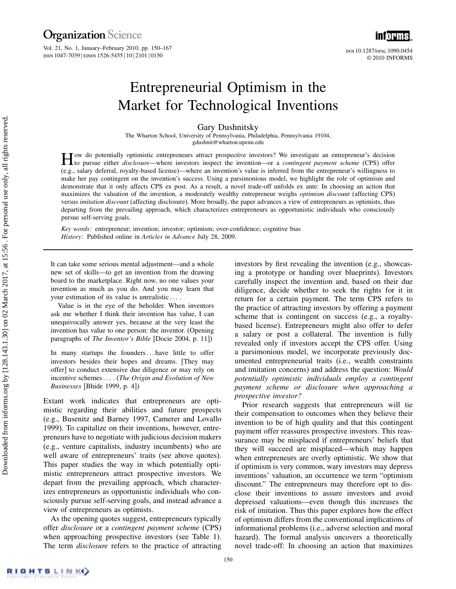doi 10.1287/orsc.1090.0454 ©2010 INFORMS

i $\bar{\mathsf{m}}$ iorms  $\bar{\mathsf{m}}$ 

# Entrepreneurial Optimism in the Market for Technological Inventions

Gary Dushnitsky

The Wharton School, University of Pennsylvania, Philadelphia, Pennsylvania 19104, gdushnit@wharton.upenn.edu

 $\prod$  ow do potentially optimistic entrepreneurs attract prospective investors? We investigate an entrepreneur's decision<br>to pursue either *disclosure*—where investors inspect the invention—or a *contingent payment scheme* (e.g., salary deferral, royalty-based license)—where an invention's value is inferred from the entrepreneur's willingness to make her pay contingent on the invention's success. Using a parsimonious model, we highlight the role of optimism and demonstrate that it only affects CPS ex post. As a result, a novel trade-off unfolds ex ante: In choosing an action that maximizes the valuation of the invention, a moderately wealthy entrepreneur weighs optimism discount (affecting CPS) versus imitation discount (affecting disclosure). More broadly, the paper advances a view of entrepreneurs as optimists, thus departing from the prevailing approach, which characterizes entrepreneurs as opportunistic individuals who consciously pursue self-serving goals.

Key words: entrepreneur; invention; investor; optimism; over-confidence; cognitive bias History: Published online in Articles in Advance July 28, 2009.

It can take some serious mental adjustment—and a whole new set of skills—to get an invention from the drawing board to the marketplace. Right now, no one values your invention as much as you do. And you may learn that your estimation of its value is unrealistic

Value is in the eye of the beholder. When inventors ask me whether I think their invention has value, I can unequivocally answer yes, because at the very least the invention has value to one person: the inventor. (Opening paragraphs of The Inventor's Bible [Docie 2004, p. 11])

In many startups the founders ... have little to offer investors besides their hopes and dreams. [They may offer] to conduct extensive due diligence or may rely on incentive schemes  $\dots$  (The Origin and Evolution of New Businesses [Bhide 1999, p. 4])

Extant work indicates that entrepreneurs are optimistic regarding their abilities and future prospects (e.g., Busenitz and Barney 1997, Camerer and Lovallo 1999). To capitalize on their inventions, however, entrepreneurs have to negotiate with judicious decision makers (e.g., venture capitalists, industry incumbents) who are well aware of entrepreneurs' traits (see above quotes). This paper studies the way in which potentially optimistic entrepreneurs attract prospective investors. We depart from the prevailing approach, which characterizes entrepreneurs as opportunistic individuals who consciously pursue self-serving goals, and instead advance a view of entrepreneurs as optimists.

As the opening quotes suggest, entrepreneurs typically offer disclosure or a contingent payment scheme (CPS) when approaching prospective investors (see Table 1). The term *disclosure* refers to the practice of attracting investors by first revealing the invention (e.g., showcasing a prototype or handing over blueprints). Investors carefully inspect the invention and, based on their due diligence, decide whether to seek the rights for it in return for a certain payment. The term CPS refers to the practice of attracting investors by offering a payment scheme that is contingent on success (e.g., a royaltybased license). Entrepreneurs might also offer to defer a salary or post a collateral. The invention is fully revealed only if investors accept the CPS offer. Using a parsimonious model, we incorporate previously documented entrepreneurial traits (i.e., wealth constraints and imitation concerns) and address the question: Would potentially optimistic individuals employ a contingent payment scheme or disclosure when approaching a prospective investor?

Prior research suggests that entrepreneurs will tie their compensation to outcomes when they believe their invention to be of high quality and that this contingent payment offer reassures prospective investors. This reassurance may be misplaced if entrepreneurs' beliefs that they will succeed are misplaced—which may happen when entrepreneurs are overly optimistic. We show that if optimism is very common, wary investors may depress inventions' valuation, an occurrence we term "optimism discount." The entrepreneurs may therefore opt to disclose their inventions to assure investors and avoid depressed valuations—even though this increases the risk of imitation. Thus this paper explores how the effect of optimism differs from the conventional implications of informational problems (i.e., adverse selection and moral hazard). The formal analysis uncovers a theoretically novel trade-off: In choosing an action that maximizes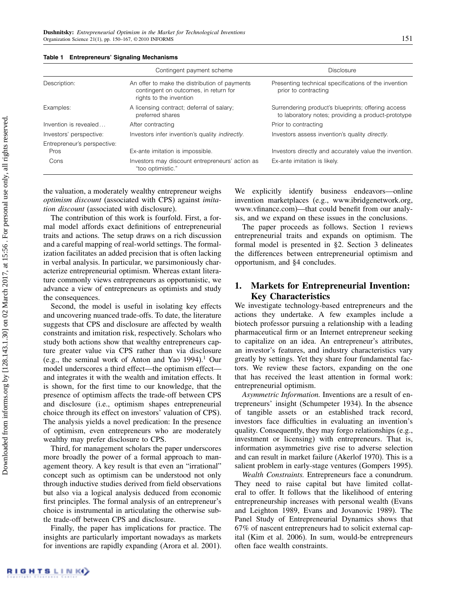|                                     | Contingent payment scheme                                                                                         | <b>Disclosure</b>                                                                                        |
|-------------------------------------|-------------------------------------------------------------------------------------------------------------------|----------------------------------------------------------------------------------------------------------|
| Description:                        | An offer to make the distribution of payments<br>contingent on outcomes, in return for<br>rights to the invention | Presenting technical specifications of the invention<br>prior to contracting                             |
| Examples:                           | A licensing contract; deferral of salary;<br>preferred shares                                                     | Surrendering product's blueprints; offering access<br>to laboratory notes; providing a product-prototype |
| Invention is revealed               | After contracting                                                                                                 | Prior to contracting                                                                                     |
| Investors' perspective:             | Investors infer invention's quality <i>indirectly</i> .                                                           | Investors assess invention's quality <i>directly</i> .                                                   |
| Entrepreneur's perspective:<br>Pros | Ex-ante imitation is impossible.                                                                                  | Investors directly and accurately value the invention.                                                   |
| Cons                                | Investors may discount entrepreneurs' action as<br>"too optimistic."                                              | Ex-ante imitation is likely.                                                                             |

#### Table 1 Entrepreneurs' Signaling Mechanisms

the valuation, a moderately wealthy entrepreneur weighs optimism discount (associated with CPS) against imitation discount (associated with disclosure).

The contribution of this work is fourfold. First, a formal model affords exact definitions of entrepreneurial traits and actions. The setup draws on a rich discussion and a careful mapping of real-world settings. The formalization facilitates an added precision that is often lacking in verbal analysis. In particular, we parsimoniously characterize entrepreneurial optimism. Whereas extant literature commonly views entrepreneurs as opportunistic, we advance a view of entrepreneurs as optimists and study the consequences.

Second, the model is useful in isolating key effects and uncovering nuanced trade-offs. To date, the literature suggests that CPS and disclosure are affected by wealth constraints and imitation risk, respectively. Scholars who study both actions show that wealthy entrepreneurs capture greater value via CPS rather than via disclosure (e.g., the seminal work of Anton and Yao 1994).<sup>1</sup> Our model underscores a third effect—the optimism effect and integrates it with the wealth and imitation effects. It is shown, for the first time to our knowledge, that the presence of optimism affects the trade-off between CPS and disclosure (i.e., optimism shapes entrepreneurial choice through its effect on investors' valuation of CPS). The analysis yields a novel predication: In the presence of optimism, even entrepreneurs who are moderately wealthy may prefer disclosure to CPS.

Third, for management scholars the paper underscores more broadly the power of a formal approach to management theory. A key result is that even an "irrational" concept such as optimism can be understood not only through inductive studies derived from field observations but also via a logical analysis deduced from economic first principles. The formal analysis of an entrepreneur's choice is instrumental in articulating the otherwise subtle trade-off between CPS and disclosure.

Finally, the paper has implications for practice. The insights are particularly important nowadays as markets for inventions are rapidly expanding (Arora et al. 2001).

We explicitly identify business endeavors—online invention marketplaces (e.g., www.ibridgenetwork.org, www.vfinance.com)—that could benefit from our analysis, and we expand on these issues in the conclusions.

The paper proceeds as follows. Section 1 reviews entrepreneurial traits and expands on optimism. The formal model is presented in §2. Section 3 delineates the differences between entrepreneurial optimism and opportunism, and §4 concludes.

# 1. Markets for Entrepreneurial Invention: Key Characteristics

We investigate technology-based entrepreneurs and the actions they undertake. A few examples include a biotech professor pursuing a relationship with a leading pharmaceutical firm or an Internet entrepreneur seeking to capitalize on an idea. An entrepreneur's attributes, an investor's features, and industry characteristics vary greatly by settings. Yet they share four fundamental factors. We review these factors, expanding on the one that has received the least attention in formal work: entrepreneurial optimism.

Asymmetric Information. Inventions are a result of entrepreneurs' insight (Schumpeter 1934). In the absence of tangible assets or an established track record, investors face difficulties in evaluating an invention's quality. Consequently, they may forgo relationships (e.g., investment or licensing) with entrepreneurs. That is, information asymmetries give rise to adverse selection and can result in market failure (Akerlof 1970). This is a salient problem in early-stage ventures (Gompers 1995).

Wealth Constraints. Entrepreneurs face a conundrum. They need to raise capital but have limited collateral to offer. It follows that the likelihood of entering entrepreneurship increases with personal wealth (Evans and Leighton 1989, Evans and Jovanovic 1989). The Panel Study of Entrepreneurial Dynamics shows that 67% of nascent entrepreneurs had to solicit external capital (Kim et al. 2006). In sum, would-be entrepreneurs often face wealth constraints.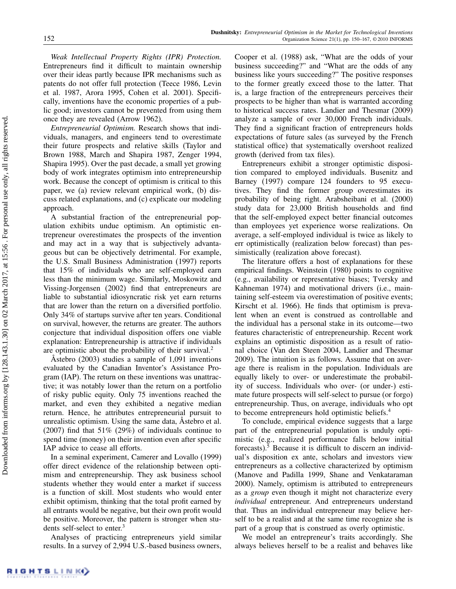Weak Intellectual Property Rights (IPR) Protection. Entrepreneurs find it difficult to maintain ownership over their ideas partly because IPR mechanisms such as patents do not offer full protection (Teece 1986, Levin et al. 1987, Arora 1995, Cohen et al. 2001). Specifically, inventions have the economic properties of a public good; investors cannot be prevented from using them once they are revealed (Arrow 1962).

Entrepreneurial Optimism. Research shows that individuals, managers, and engineers tend to overestimate their future prospects and relative skills (Taylor and Brown 1988, March and Shapira 1987, Zenger 1994, Shapira 1995). Over the past decade, a small yet growing body of work integrates optimism into entrepreneurship work. Because the concept of optimism is critical to this paper, we (a) review relevant empirical work, (b) discuss related explanations, and (c) explicate our modeling approach.

A substantial fraction of the entrepreneurial population exhibits undue optimism. An optimistic entrepreneur overestimates the prospects of the invention and may act in a way that is subjectively advantageous but can be objectively detrimental. For example, the U.S. Small Business Administration (1997) reports that 15% of individuals who are self-employed earn less than the minimum wage. Similarly, Moskowitz and Vissing-Jorgensen (2002) find that entrepreneurs are liable to substantial idiosyncratic risk yet earn returns that are lower than the return on a diversified portfolio. Only 34% of startups survive after ten years. Conditional on survival, however, the returns are greater. The authors conjecture that individual disposition offers one viable explanation: Entrepreneurship is attractive if individuals are optimistic about the probability of their survival.<sup>2</sup>

Åstebro (2003) studies a sample of 1,091 inventions evaluated by the Canadian Inventor's Assistance Program (IAP). The return on these inventions was unattractive; it was notably lower than the return on a portfolio of risky public equity. Only 75 inventions reached the market, and even they exhibited a negative median return. Hence, he attributes entrepreneurial pursuit to unrealistic optimism. Using the same data, Åstebro et al. (2007) find that 51% (29%) of individuals continue to spend time (money) on their invention even after specific IAP advice to cease all efforts.

In a seminal experiment, Camerer and Lovallo (1999) offer direct evidence of the relationship between optimism and entrepreneurship. They ask business school students whether they would enter a market if success is a function of skill. Most students who would enter exhibit optimism, thinking that the total profit earned by all entrants would be negative, but their own profit would be positive. Moreover, the pattern is stronger when students self-select to enter.<sup>3</sup>

Analyses of practicing entrepreneurs yield similar results. In a survey of 2,994 U.S.-based business owners, Cooper et al. (1988) ask, "What are the odds of your business succeeding?" and "What are the odds of any business like yours succeeding?" The positive responses to the former greatly exceed those to the latter. That is, a large fraction of the entrepreneurs perceives their prospects to be higher than what is warranted according to historical success rates. Landier and Thesmar (2009) analyze a sample of over 30,000 French individuals. They find a significant fraction of entrepreneurs holds expectations of future sales (as surveyed by the French statistical office) that systematically overshoot realized growth (derived from tax files).

Entrepreneurs exhibit a stronger optimistic disposition compared to employed individuals. Busenitz and Barney (1997) compare 124 founders to 95 executives. They find the former group overestimates its probability of being right. Arabsheibani et al. (2000) study data for 23,000 British households and find that the self-employed expect better financial outcomes than employees yet experience worse realizations. On average, a self-employed individual is twice as likely to err optimistically (realization below forecast) than pessimistically (realization above forecast).

The literature offers a host of explanations for these empirical findings. Weinstein (1980) points to cognitive (e.g., availability or representative biases; Tversky and Kahneman 1974) and motivational drivers (i.e., maintaining self-esteem via overestimation of positive events; Kirscht et al. 1966). He finds that optimism is prevalent when an event is construed as controllable and the individual has a personal stake in its outcome—two features characteristic of entrepreneurship. Recent work explains an optimistic disposition as a result of rational choice (Van den Steen 2004, Landier and Thesmar 2009). The intuition is as follows. Assume that on average there is realism in the population. Individuals are equally likely to over- or underestimate the probability of success. Individuals who over- (or under-) estimate future prospects will self-select to pursue (or forgo) entrepreneurship. Thus, on average, individuals who opt to become entrepreneurs hold optimistic beliefs.<sup>4</sup>

To conclude, empirical evidence suggests that a large part of the entrepreneurial population is unduly optimistic (e.g., realized performance falls below initial forecasts).<sup>5</sup> Because it is difficult to discern an individual's disposition ex ante, scholars and investors view entrepreneurs as a collective characterized by optimism (Manove and Padilla 1999, Shane and Venkataraman 2000). Namely, optimism is attributed to entrepreneurs as a *group* even though it might not characterize every individual entrepreneur. And entrepreneurs understand that. Thus an individual entrepreneur may believe herself to be a realist and at the same time recognize she is part of a group that is construed as overly optimistic.

We model an entrepreneur's traits accordingly. She always believes herself to be a realist and behaves like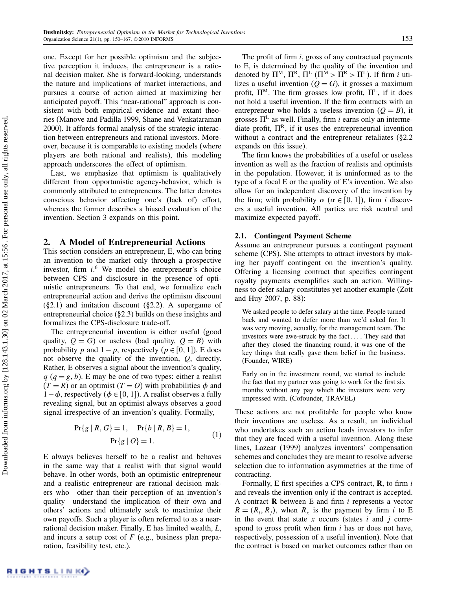one. Except for her possible optimism and the subjective perception it induces, the entrepreneur is a rational decision maker. She is forward-looking, understands the nature and implications of market interactions, and pursues a course of action aimed at maximizing her anticipated payoff. This "near-rational" approach is consistent with both empirical evidence and extant theories (Manove and Padilla 1999, Shane and Venkataraman 2000). It affords formal analysis of the strategic interaction between entrepreneurs and rational investors. Moreover, because it is comparable to existing models (where players are both rational and realists), this modeling approach underscores the effect of optimism.

Last, we emphasize that optimism is qualitatively different from opportunistic agency-behavior, which is commonly attributed to entrepreneurs. The latter denotes conscious behavior affecting one's (lack of) effort, whereas the former describes a biased evaluation of the invention. Section 3 expands on this point.

# 2. A Model of Entrepreneurial Actions

This section considers an entrepreneur, E, who can bring an invention to the market only through a prospective investor, firm  $i$ <sup>6</sup>. We model the entrepreneur's choice between CPS and disclosure in the presence of optimistic entrepreneurs. To that end, we formalize each entrepreneurial action and derive the optimism discount (§2.1) and imitation discount (§2.2). A supergame of entrepreneurial choice (§2.3) builds on these insights and formalizes the CPS-disclosure trade-off.

The entrepreneurial invention is either useful (good quality,  $Q = G$ ) or useless (bad quality,  $Q = B$ ) with probability p and  $1-p$ , respectively ( $p \in [0, 1]$ ). E does not observe the quality of the invention, Q, directly. Rather, E observes a signal about the invention's quality,  $q$  ( $q = g, b$ ). E may be one of two types: either a realist  $(T = R)$  or an optimist  $(T = O)$  with probabilities  $\phi$  and  $1-\phi$ , respectively ( $\phi \in [0, 1]$ ). A realist observes a fully revealing signal, but an optimist always observes a good signal irrespective of an invention's quality. Formally,

$$
Pr{g | R, G} = 1, Pr{b | R, B} = 1,
$$
  
Pr{g | O} = 1. (1)

E always believes herself to be a realist and behaves in the same way that a realist with that signal would behave. In other words, both an optimistic entrepreneur and a realistic entrepreneur are rational decision makers who—other than their perception of an invention's quality—understand the implication of their own and others' actions and ultimately seek to maximize their own payoffs. Such a player is often referred to as a nearrational decision maker. Finally, E has limited wealth, L, and incurs a setup cost of  $F$  (e.g., business plan preparation, feasibility test, etc.).

The profit of firm  $i$ , gross of any contractual payments to E, is determined by the quality of the invention and denoted by  $\Pi^M$ ,  $\Pi^R$ ,  $\Pi^L$  ( $\Pi^M > \Pi^R > \Pi^L$ ). If firm *i* utilizes a useful invention  $(Q = G)$ , it grosses a maximum profit,  $\Pi^M$ . The firm grosses low profit,  $\Pi^L$ , if it does not hold a useful invention. If the firm contracts with an entrepreneur who holds a useless invention  $(Q = B)$ , it grosses  $\Pi^L$  as well. Finally, firm *i* earns only an intermediate profit,  $\Pi^R$ , if it uses the entrepreneurial invention without a contract and the entrepreneur retaliates (§2.2 expands on this issue).

The firm knows the probabilities of a useful or useless invention as well as the fraction of realists and optimists in the population. However, it is uninformed as to the type of a focal E or the quality of E's invention. We also allow for an independent discovery of the invention by the firm; with probability  $\alpha$  ( $\alpha \in [0, 1]$ ), firm *i* discovers a useful invention. All parties are risk neutral and maximize expected payoff.

### 2.1. Contingent Payment Scheme

Assume an entrepreneur pursues a contingent payment scheme (CPS). She attempts to attract investors by making her payoff contingent on the invention's quality. Offering a licensing contract that specifies contingent royalty payments exemplifies such an action. Willingness to defer salary constitutes yet another example (Zott and Huy 2007, p. 88):

We asked people to defer salary at the time. People turned back and wanted to defer more than we'd asked for. It was very moving, actually, for the management team. The investors were awe-struck by the fact.... They said that after they closed the financing round, it was one of the key things that really gave them belief in the business. (Founder, WIRE)

Early on in the investment round, we started to include the fact that my partner was going to work for the first six months without any pay which the investors were very impressed with. (Cofounder, TRAVEL)

These actions are not profitable for people who know their inventions are useless. As a result, an individual who undertakes such an action leads investors to infer that they are faced with a useful invention. Along these lines, Lazear (1999) analyzes inventors' compensation schemes and concludes they are meant to resolve adverse selection due to information asymmetries at the time of contracting.

Formally, E first specifies a CPS contract,  $\bf{R}$ , to firm i and reveals the invention only if the contract is accepted. A contract  $\bf{R}$  between  $\bf{E}$  and firm *i* represents a vector  $R = (R_i, R_j)$ , when  $R_x$  is the payment by firm i to E in the event that state  $x$  occurs (states  $i$  and  $j$  correspond to gross profit when firm  $i$  has or does not have, respectively, possession of a useful invention). Note that the contract is based on market outcomes rather than on

RIGHTSLINK)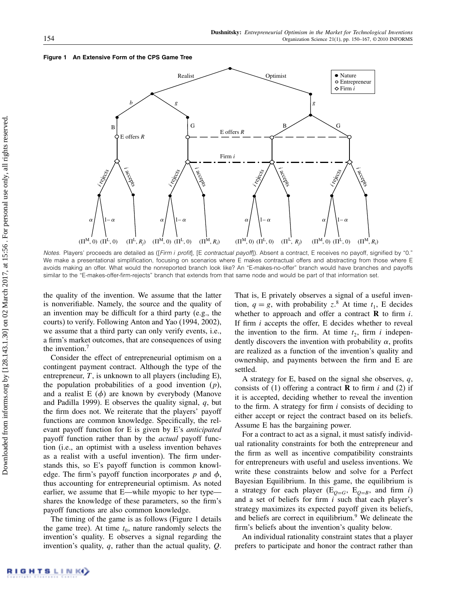#### Figure 1 An Extensive Form of the CPS Game Tree



Notes. Players' proceeds are detailed as ([Firm i profit], [E contractual payoff]). Absent a contract, E receives no payoff, signified by "0." We make a presentational simplification, focusing on scenarios where E makes contractual offers and abstracting from those where E avoids making an offer. What would the nonreported branch look like? An "E-makes-no-offer" branch would have branches and payoffs similar to the "E-makes-offer-firm-rejects" branch that extends from that same node and would be part of that information set.

the quality of the invention. We assume that the latter is nonverifiable. Namely, the source and the quality of an invention may be difficult for a third party (e.g., the courts) to verify. Following Anton and Yao (1994, 2002), we assume that a third party can only verify events, i.e., a firm's market outcomes, that are consequences of using the invention.<sup>7</sup>

Consider the effect of entrepreneurial optimism on a contingent payment contract. Although the type of the entrepreneur,  $T$ , is unknown to all players (including E), the population probabilities of a good invention  $(p)$ , and a realist  $E(\phi)$  are known by everybody (Manove and Padilla 1999). E observes the quality signal,  $q$ , but the firm does not. We reiterate that the players' payoff functions are common knowledge. Specifically, the relevant payoff function for E is given by E's anticipated payoff function rather than by the *actual* payoff function (i.e., an optimist with a useless invention behaves as a realist with a useful invention). The firm understands this, so E's payoff function is common knowledge. The firm's payoff function incorporates p and  $\phi$ , thus accounting for entrepreneurial optimism. As noted earlier, we assume that E—while myopic to her type shares the knowledge of these parameters, so the firm's payoff functions are also common knowledge.

The timing of the game is as follows (Figure 1 details the game tree). At time  $t_0$ , nature randomly selects the invention's quality. E observes a signal regarding the invention's quality,  $q$ , rather than the actual quality,  $Q$ . That is, E privately observes a signal of a useful invention,  $q = g$ , with probability  $z^8$ . At time  $t_1$ , E decides whether to approach and offer a contract  **to firm** *i***.** If firm  $i$  accepts the offer, E decides whether to reveal the invention to the firm. At time  $t_2$ , firm i independently discovers the invention with probability  $\alpha$ , profits are realized as a function of the invention's quality and ownership, and payments between the firm and E are settled.

A strategy for E, based on the signal she observes,  $q$ , consists of (1) offering a contract **R** to firm i and (2) if it is accepted, deciding whether to reveal the invention to the firm. A strategy for firm  $i$  consists of deciding to either accept or reject the contract based on its beliefs. Assume E has the bargaining power.

For a contract to act as a signal, it must satisfy individual rationality constraints for both the entrepreneur and the firm as well as incentive compatibility constraints for entrepreneurs with useful and useless inventions. We write these constraints below and solve for a Perfect Bayesian Equilibrium. In this game, the equilibrium is a strategy for each player ( $E_{Q=G}$ ,  $E_{Q=B}$ , and firm i) and a set of beliefs for firm  $i$  such that each player's strategy maximizes its expected payoff given its beliefs, and beliefs are correct in equilibrium.<sup>9</sup> We delineate the firm's beliefs about the invention's quality below.

An individual rationality constraint states that a player prefers to participate and honor the contract rather than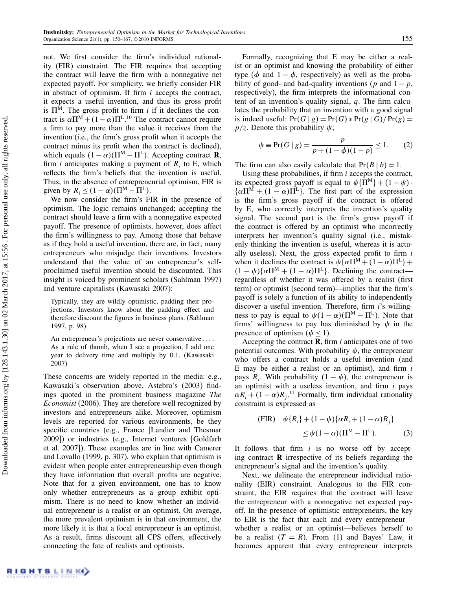not. We first consider the firm's individual rationality (FIR) constraint. The FIR requires that accepting the contract will leave the firm with a nonnegative net expected payoff. For simplicity, we briefly consider FIR in abstract of optimism. If firm  $i$  accepts the contract, it expects a useful invention, and thus its gross profit is  $\Pi^M$ . The gross profit to firm *i* if it declines the contract is  $\alpha \Pi^{M} + (1 - \alpha) \Pi^{L}$ .<sup>10</sup> The contract cannot require a firm to pay more than the value it receives from the invention (i.e., the firm's gross profit when it accepts the contract minus its profit when the contract is declined), which equals  $(1 - \alpha)(\Pi^M - \Pi^L)$ . Accepting contract **R**, firm *i* anticipates making a payment of  $R_i$  to E, which reflects the firm's beliefs that the invention is useful. Thus, in the absence of entrepreneurial optimism, FIR is given by  $R_i \leq (1 - \alpha)(\Pi^{\text{M}} - \Pi^{\text{L}})$ .

We now consider the firm's FIR in the presence of optimism. The logic remains unchanged; accepting the contract should leave a firm with a nonnegative expected payoff. The presence of optimists, however, does affect the firm's willingness to pay. Among those that behave as if they hold a useful invention, there are, in fact, many entrepreneurs who misjudge their inventions. Investors understand that the value of an entrepreneur's selfproclaimed useful invention should be discounted. This insight is voiced by prominent scholars (Sahlman 1997) and venture capitalists (Kawasaki 2007):

Typically, they are wildly optimistic, padding their projections. Investors know about the padding effect and therefore discount the figures in business plans. (Sahlman 1997, p. 98)

An entrepreneur's projections are never conservative.... As a rule of thumb, when I see a projection, I add one year to delivery time and multiply by 0.1. (Kawasaki 2007)

These concerns are widely reported in the media: e.g., Kawasaki's observation above, Astebro's (2003) findings quoted in the prominent business magazine The Economist (2006). They are therefore well recognized by investors and entrepreneurs alike. Moreover, optimism levels are reported for various environments, be they specific countries (e.g., France [Landier and Thesmar 2009]) or industries (e.g., Internet ventures [Goldfarb et al. 2007]). These examples are in line with Camerer and Lovallo (1999, p. 307), who explain that optimism is evident when people enter entrepreneurship even though they have information that overall profits are negative. Note that for a given environment, one has to know only whether entrepreneurs as a group exhibit optimism. There is no need to know whether an individual entrepreneur is a realist or an optimist. On average, the more prevalent optimism is in that environment, the more likely it is that a focal entrepreneur is an optimist. As a result, firms discount all CPS offers, effectively connecting the fate of realists and optimists.

Formally, recognizing that E may be either a realist or an optimist and knowing the probability of either type ( $\phi$  and  $1 - \phi$ , respectively) as well as the probability of good- and bad-quality inventions (p and  $1 - p$ , respectively), the firm interprets the informational content of an invention's quality signal, q. The firm calculates the probability that an invention with a good signal is indeed useful:  $Pr(G | g) = Pr(G) * Pr(g | G) / Pr(g) =$  $p/z$ . Denote this probability  $\psi$ ;

$$
\psi \equiv \Pr(G \mid g) = \frac{p}{p + (1 - \phi)(1 - p)} \le 1. \tag{2}
$$

The firm can also easily calculate that  $Pr(B | b) = 1$ .

Using these probabilities, if firm  $i$  accepts the contract, its expected gross payoff is equal to  $\psi\{\Pi^M\} + (1 - \psi)$ .  $\{\alpha\Pi^M + (1 - \alpha)\Pi^L\}$ . The first part of the expression is the firm's gross payoff if the contract is offered by E, who correctly interprets the invention's quality signal. The second part is the firm's gross payoff if the contract is offered by an optimist who incorrectly interprets her invention's quality signal (i.e., mistakenly thinking the invention is useful, whereas it is actually useless). Next, the gross expected profit to firm  $i$ when it declines the contract is  $\psi {\alpha} \Pi^M + (1-\alpha)\Pi^L$  +  $(1 - \psi)\{\alpha \Pi^M + (1 - \alpha)\Pi^L\}$ . Declining the contract regardless of whether it was offered by a realist (first term) or optimist (second term)—implies that the firm's payoff is solely a function of its ability to independently discover a useful invention. Therefore, firm *i*'s willingness to pay is equal to  $\psi(1 - \alpha)(\Pi^M - \Pi^L)$ . Note that firms' willingness to pay has diminished by  $\psi$  in the presence of optimism ( $\psi \leq 1$ ).

Accepting the contract  $\bf{R}$ , firm *i* anticipates one of two potential outcomes. With probability  $\psi$ , the entrepreneur who offers a contract holds a useful invention (and E may be either a realist or an optimist), and firm  $i$ pays  $R_i$ . With probability  $(1 - \psi)$ , the entrepreneur is an optimist with a useless invention, and firm  $i$  pays  $\alpha R_i + (1 - \alpha)R_j$ .<sup>11</sup> Formally, firm individual rationality constraint is expressed as

(FIR) 
$$
\psi\{R_i\} + (1 - \psi)\{\alpha R_i + (1 - \alpha)R_j\}
$$

$$
\leq \psi(1 - \alpha)(\Pi^M - \Pi^L). \tag{3}
$$

It follows that firm  $i$  is no worse off by accepting contract  **irrespective of its beliefs regarding the** entrepreneur's signal and the invention's quality.

Next, we delineate the entrepreneur individual rationality (EIR) constraint. Analogous to the FIR constraint, the EIR requires that the contract will leave the entrepreneur with a nonnegative net expected payoff. In the presence of optimistic entrepreneurs, the key to EIR is the fact that each and every entrepreneur whether a realist or an optimist—believes herself to be a realist  $(T = R)$ . From (1) and Bayes' Law, it becomes apparent that every entrepreneur interprets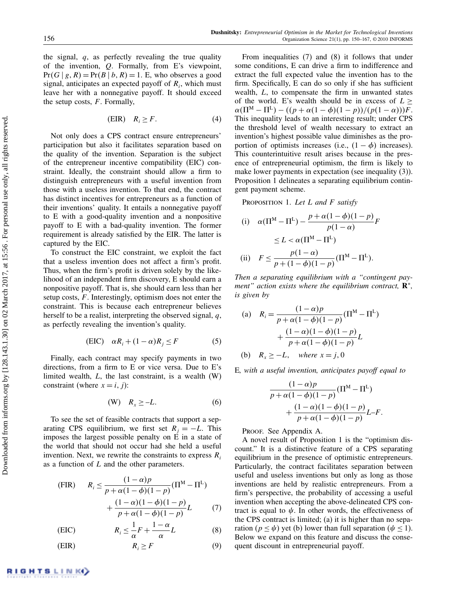the signal,  $q$ , as perfectly revealing the true quality of the invention, Q. Formally, from E's viewpoint,  $Pr(G | g, R) = Pr(B | b, R) = 1$ . E, who observes a good signal, anticipates an expected payoff of  $R_i$ , which must leave her with a nonnegative payoff. It should exceed the setup costs,  $F$ . Formally,

$$
(EIR) \t R_i \ge F. \t(4)
$$

Not only does a CPS contract ensure entrepreneurs' participation but also it facilitates separation based on the quality of the invention. Separation is the subject of the entrepreneur incentive compatibility (EIC) constraint. Ideally, the constraint should allow a firm to distinguish entrepreneurs with a useful invention from those with a useless invention. To that end, the contract has distinct incentives for entrepreneurs as a function of their inventions' quality. It entails a nonnegative payoff to E with a good-quality invention and a nonpositive payoff to E with a bad-quality invention. The former requirement is already satisfied by the EIR. The latter is captured by the EIC.

To construct the EIC constraint, we exploit the fact that a useless invention does not affect a firm's profit. Thus, when the firm's profit is driven solely by the likelihood of an independent firm discovery, E should earn a nonpositive payoff. That is, she should earn less than her setup costs,  $F$ . Interestingly, optimism does not enter the constraint. This is because each entrepreneur believes herself to be a realist, interpreting the observed signal,  $q$ , as perfectly revealing the invention's quality.

$$
(EIC) \quad \alpha R_i + (1 - \alpha)R_j \le F \tag{5}
$$

Finally, each contract may specify payments in two directions, from a firm to E or vice versa. Due to E's limited wealth,  $L$ , the last constraint, is a wealth  $(W)$ constraint (where  $x = i, j$ ):

$$
(W) \t R_x \ge -L. \t\t(6)
$$

To see the set of feasible contracts that support a separating CPS equilibrium, we first set  $R_i = -L$ . This imposes the largest possible penalty on  $\overline{E}$  in a state of the world that should not occur had she held a useful invention. Next, we rewrite the constraints to express  $R_i$ as a function of L and the other parameters.

(FIR) 
$$
R_i \le \frac{(1-\alpha)p}{p + \alpha(1-\phi)(1-p)}(\Pi^M - \Pi^L) + \frac{(1-\alpha)(1-\phi)(1-p)}{p + \alpha(1-\phi)(1-p)}L \tag{7}
$$

(EIC) 
$$
R_i \leq \frac{1}{\alpha} F + \frac{1-\alpha}{\alpha} L \tag{8}
$$

$$
(EIR) \t\t R_i \ge F \t\t(9)
$$

From inequalities (7) and (8) it follows that under some conditions, E can drive a firm to indifference and extract the full expected value the invention has to the firm. Specifically, E can do so only if she has sufficient wealth, L, to compensate the firm in unwanted states of the world. E's wealth should be in excess of  $L \geq$  $\alpha(\Pi^M - \Pi^L) - ((p + \alpha(1 - \phi)(1 - p))/(p(1 - \alpha)))F.$ This inequality leads to an interesting result; under CPS the threshold level of wealth necessary to extract an invention's highest possible value diminishes as the proportion of optimists increases (i.e.,  $(1 - \phi)$ ) increases). This counterintuitive result arises because in the presence of entrepreneurial optimism, the firm is likely to make lower payments in expectation (see inequality (3)). Proposition 1 delineates a separating equilibrium contingent payment scheme.

PROPOSITION 1. Let  $L$  and  $F$  satisfy

(i) 
$$
\alpha(\Pi^M - \Pi^L) - \frac{p + \alpha(1 - \phi)(1 - p)}{p(1 - \alpha)}F
$$
  
\n $\leq L < \alpha(\Pi^M - \Pi^L)$   
\n(ii)  $F \leq \frac{p(1 - \alpha)}{p + (1 - \phi)(1 - p)}(\Pi^M - \Pi^L).$ 

Then a separating equilibrium with a "contingent payment" action exists where the equilibrium contract,  $\mathbf{R}^*$ , is given by

(a) 
$$
R_i = \frac{(1-\alpha)p}{p+\alpha(1-\phi)(1-p)}(\Pi^M - \Pi^L)
$$
  
  $+ \frac{(1-\alpha)(1-\phi)(1-p)}{p+\alpha(1-\phi)(1-p)}L$   
(b)  $R_x \ge -L$ , where  $x = j, 0$ 

E, with a useful invention, anticipates payoff equal to

$$
\frac{(1-\alpha)p}{p+\alpha(1-\phi)(1-p)}(\Pi^{\mathbf{M}} - \Pi^{\mathbf{L}}) + \frac{(1-\alpha)(1-\phi)(1-p)}{p+\alpha(1-\phi)(1-p)}L - F.
$$

Proof. See Appendix A.

A novel result of Proposition 1 is the "optimism discount." It is a distinctive feature of a CPS separating equilibrium in the presence of optimistic entrepreneurs. Particularly, the contract facilitates separation between useful and useless inventions but only as long as those inventions are held by realistic entrepreneurs. From a firm's perspective, the probability of accessing a useful invention when accepting the above-delineated CPS contract is equal to  $\psi$ . In other words, the effectiveness of the CPS contract is limited; (a) it is higher than no separation ( $p \le \psi$ ) yet (b) lower than full separation ( $\psi \le 1$ ). Below we expand on this feature and discuss the consequent discount in entrepreneurial payoff.

RIGHTS LINK)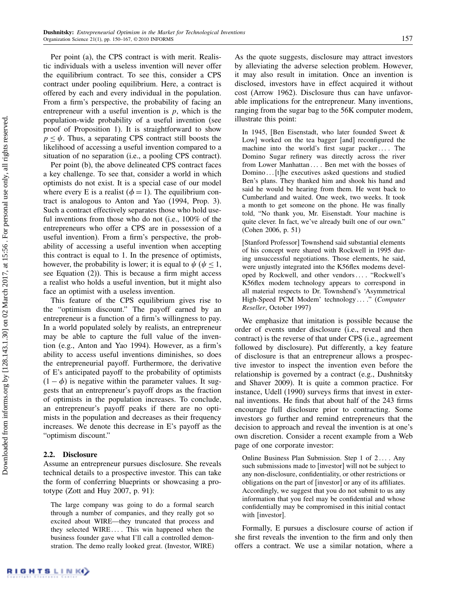Per point (a), the CPS contract is with merit. Realistic individuals with a useless invention will never offer the equilibrium contract. To see this, consider a CPS contract under pooling equilibrium. Here, a contract is offered by each and every individual in the population. From a firm's perspective, the probability of facing an entrepreneur with a useful invention is  $p$ , which is the population-wide probability of a useful invention (see proof of Proposition 1). It is straightforward to show  $p \leq \psi$ . Thus, a separating CPS contract still boosts the likelihood of accessing a useful invention compared to a situation of no separation (i.e., a pooling CPS contract).

Per point (b), the above delineated CPS contract faces a key challenge. To see that, consider a world in which optimists do not exist. It is a special case of our model where every E is a realist ( $\phi = 1$ ). The equilibrium contract is analogous to Anton and Yao (1994, Prop. 3). Such a contract effectively separates those who hold useful inventions from those who do not (i.e., 100% of the entrepreneurs who offer a CPS are in possession of a useful invention). From a firm's perspective, the probability of accessing a useful invention when accepting this contract is equal to 1. In the presence of optimists, however, the probability is lower; it is equal to  $\psi$  ( $\psi \leq 1$ , see Equation (2)). This is because a firm might access a realist who holds a useful invention, but it might also face an optimist with a useless invention.

This feature of the CPS equilibrium gives rise to the "optimism discount." The payoff earned by an entrepreneur is a function of a firm's willingness to pay. In a world populated solely by realists, an entrepreneur may be able to capture the full value of the invention (e.g., Anton and Yao 1994). However, as a firm's ability to access useful inventions diminishes, so does the entrepreneurial payoff. Furthermore, the derivative of E's anticipated payoff to the probability of optimists  $(1 - \phi)$  is negative within the parameter values. It suggests that an entrepreneur's payoff drops as the fraction of optimists in the population increases. To conclude, an entrepreneur's payoff peaks if there are no optimists in the population and decreases as their frequency increases. We denote this decrease in E's payoff as the "optimism discount."

# 2.2. Disclosure

Assume an entrepreneur pursues disclosure. She reveals technical details to a prospective investor. This can take the form of conferring blueprints or showcasing a prototype (Zott and Huy 2007, p. 91):

The large company was going to do a formal search through a number of companies, and they really got so excited about WIRE—they truncated that process and they selected WIRE.... This win happened when the business founder gave what I'll call a controlled demonstration. The demo really looked great. (Investor, WIRE) As the quote suggests, disclosure may attract investors by alleviating the adverse selection problem. However, it may also result in imitation. Once an invention is disclosed, investors have in effect acquired it without cost (Arrow 1962). Disclosure thus can have unfavorable implications for the entrepreneur. Many inventions, ranging from the sugar bag to the 56K computer modem, illustrate this point:

In 1945, [Ben Eisenstadt, who later founded Sweet & Low] worked on the tea bagger [and] reconfigured the machine into the world's first sugar packer.... The Domino Sugar refinery was directly across the river from Lower Manhattan ... Ben met with the bosses of Domino... [t]he executives asked questions and studied Ben's plans. They thanked him and shook his hand and said he would be hearing from them. He went back to Cumberland and waited. One week, two weeks. It took a month to get someone on the phone. He was finally told, "No thank you, Mr. Eisenstadt. Your machine is quite clever. In fact, we've already built one of our own." (Cohen 2006, p. 51)

[Stanford Professor] Townshend said substantial elements of his concept were shared with Rockwell in 1995 during unsuccessful negotiations. Those elements, he said, were unjustly integrated into the K56flex modems developed by Rockwell, and other vendors ... . "Rockwell's K56flex modem technology appears to correspond in all material respects to Dr. Townshend's 'Asymmetrical High-Speed PCM Modem' technology ... ." (Computer Reseller, October 1997)

We emphasize that imitation is possible because the order of events under disclosure (i.e., reveal and then contract) is the reverse of that under CPS (i.e., agreement followed by disclosure). Put differently, a key feature of disclosure is that an entrepreneur allows a prospective investor to inspect the invention even before the relationship is governed by a contract (e.g., Dushnitsky and Shaver 2009). It is quite a common practice. For instance, Udell (1990) surveys firms that invest in external inventions. He finds that about half of the 243 firms encourage full disclosure prior to contracting. Some investors go further and remind entrepreneurs that the decision to approach and reveal the invention is at one's own discretion. Consider a recent example from a Web page of one corporate investor:

Online Business Plan Submission. Step  $1$  of  $2 \ldots$ . Any such submissions made to [investor] will not be subject to any non-disclosure, confidentiality, or other restrictions or obligations on the part of [investor] or any of its affiliates. Accordingly, we suggest that you do not submit to us any information that you feel may be confidential and whose confidentially may be compromised in this initial contact with [investor].

Formally, E pursues a disclosure course of action if she first reveals the invention to the firm and only then offers a contract. We use a similar notation, where a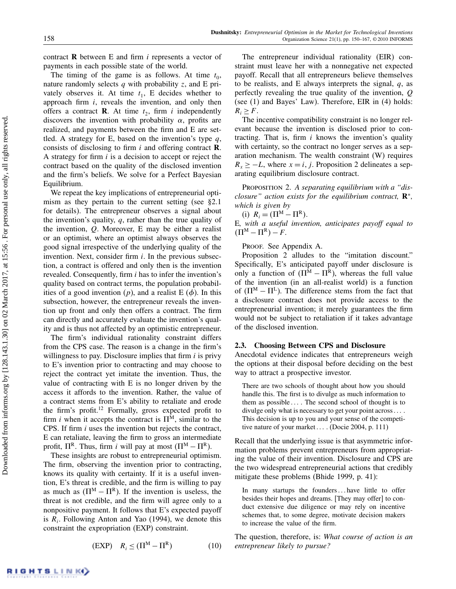contract  **between**  $E$  **and firm**  $i$  **represents a vector of** payments in each possible state of the world.

The timing of the game is as follows. At time  $t_0$ , nature randomly selects  $q$  with probability  $z$ , and E privately observes it. At time  $t_1$ , E decides whether to approach firm  $i$ , reveals the invention, and only then offers a contract **R**. At time  $t_2$ , firm i independently discovers the invention with probability  $\alpha$ , profits are realized, and payments between the firm and E are settled. A strategy for E, based on the invention's type  $q$ , consists of disclosing to firm  $i$  and offering contract  $\bf{R}$ . A strategy for firm i is a decision to accept or reject the contract based on the quality of the disclosed invention and the firm's beliefs. We solve for a Perfect Bayesian Equilibrium.

We repeat the key implications of entrepreneurial optimism as they pertain to the current setting (see §2.1 for details). The entrepreneur observes a signal about the invention's quality,  $q$ , rather than the true quality of the invention,  $Q$ . Moreover, E may be either a realist or an optimist, where an optimist always observes the good signal irrespective of the underlying quality of the invention. Next, consider firm  $i$ . In the previous subsection, a contract is offered and only then is the invention revealed. Consequently, firm i has to infer the invention's quality based on contract terms, the population probabilities of a good invention  $(p)$ , and a realist E  $(\phi)$ . In this subsection, however, the entrepreneur reveals the invention up front and only then offers a contract. The firm can directly and accurately evaluate the invention's quality and is thus not affected by an optimistic entrepreneur.

The firm's individual rationality constraint differs from the CPS case. The reason is a change in the firm's willingness to pay. Disclosure implies that firm  $i$  is privy to E's invention prior to contracting and may choose to reject the contract yet imitate the invention. Thus, the value of contracting with E is no longer driven by the access it affords to the invention. Rather, the value of a contract stems from E's ability to retaliate and erode the firm's profit.<sup>12</sup> Formally, gross expected profit to firm *i* when it accepts the contract is  $\Pi^M$ , similar to the CPS. If firm i uses the invention but rejects the contract, E can retaliate, leaving the firm to gross an intermediate profit,  $\Pi^R$ . Thus, firm *i* will pay at most ( $\Pi^M - \Pi^R$ ).

These insights are robust to entrepreneurial optimism. The firm, observing the invention prior to contracting, knows its quality with certainty. If it is a useful invention, E's threat is credible, and the firm is willing to pay as much as  $(\Pi^M - \Pi^R)$ . If the invention is useless, the threat is not credible, and the firm will agree only to a nonpositive payment. It follows that E's expected payoff is  $R_i$ . Following Anton and Yao (1994), we denote this constraint the expropriation (EXP) constraint.

$$
(EXP) \t Ri \leq (\Pi^M - \Pi^R) \t(10)
$$

The entrepreneur individual rationality (EIR) constraint must leave her with a nonnegative net expected payoff. Recall that all entrepreneurs believe themselves to be realists, and E always interprets the signal,  $q$ , as perfectly revealing the true quality of the invention, Q (see (1) and Bayes' Law). Therefore, EIR in (4) holds:  $R_i \geq F$ .

The incentive compatibility constraint is no longer relevant because the invention is disclosed prior to contracting. That is, firm  $i$  knows the invention's quality with certainty, so the contract no longer serves as a separation mechanism. The wealth constraint (W) requires  $R_x \geq -L$ , where  $x = i$ , *j*. Proposition 2 delineates a separating equilibrium disclosure contract.

PROPOSITION 2. A separating equilibrium with a "disclosure" action exists for the equilibrium contract,  $\mathbf{R}^*$ , which is given by

(i)  $R_i = (\Pi^M - \Pi^R)$ .

E, with a useful invention, anticipates payoff equal to  $(\Pi^M - \Pi^R) - F$ .

Proof. See Appendix A.

Proposition 2 alludes to the "imitation discount." Specifically, E's anticipated payoff under disclosure is only a function of  $(\Pi^M - \Pi^R)$ , whereas the full value of the invention (in an all-realist world) is a function of  $(\Pi^M - \Pi^L)$ . The difference stems from the fact that a disclosure contract does not provide access to the entrepreneurial invention; it merely guarantees the firm would not be subject to retaliation if it takes advantage of the disclosed invention.

## 2.3. Choosing Between CPS and Disclosure

Anecdotal evidence indicates that entrepreneurs weigh the options at their disposal before deciding on the best way to attract a prospective investor.

There are two schools of thought about how you should handle this. The first is to divulge as much information to them as possible  $\ldots$ . The second school of thought is to divulge only what is necessary to get your point across .... This decision is up to you and your sense of the competitive nature of your market  $\dots$  (Docie 2004, p. 111)

Recall that the underlying issue is that asymmetric information problems prevent entrepreneurs from appropriating the value of their invention. Disclosure and CPS are the two widespread entrepreneurial actions that credibly mitigate these problems (Bhide 1999, p. 41):

In many startups the founders...have little to offer besides their hopes and dreams. [They may offer] to conduct extensive due diligence or may rely on incentive schemes that, to some degree, motivate decision makers to increase the value of the firm.

The question, therefore, is: What course of action is an entrepreneur likely to pursue?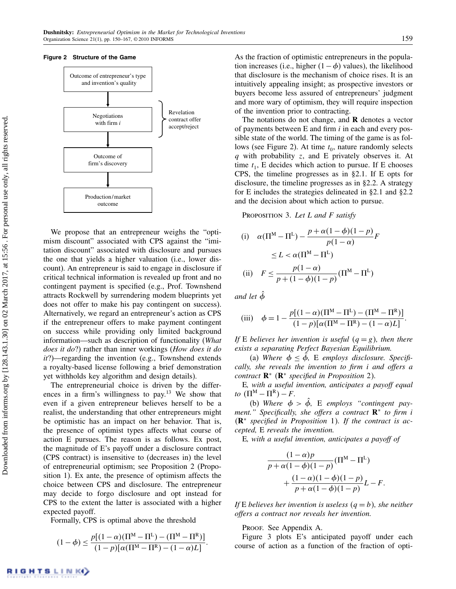### Figure 2 Structure of the Game



We propose that an entrepreneur weighs the "optimism discount" associated with CPS against the "imitation discount" associated with disclosure and pursues the one that yields a higher valuation (i.e., lower discount). An entrepreneur is said to engage in disclosure if critical technical information is revealed up front and no contingent payment is specified (e.g., Prof. Townshend attracts Rockwell by surrendering modem blueprints yet does not offer to make his pay contingent on success). Alternatively, we regard an entrepreneur's action as CPS if the entrepreneur offers to make payment contingent on success while providing only limited background information—such as description of functionality (What does it do?) rather than inner workings (How does it do it?)—regarding the invention (e.g., Townshend extends a royalty-based license following a brief demonstration yet withholds key algorithm and design details).

The entrepreneurial choice is driven by the differences in a firm's willingness to pay.<sup>13</sup> We show that even if a given entrepreneur believes herself to be a realist, the understanding that other entrepreneurs might be optimistic has an impact on her behavior. That is, the presence of optimist types affects what course of action E pursues. The reason is as follows. Ex post, the magnitude of E's payoff under a disclosure contract (CPS contract) is insensitive to (decreases in) the level of entrepreneurial optimism; see Proposition 2 (Proposition 1). Ex ante, the presence of optimism affects the choice between CPS and disclosure. The entrepreneur may decide to forgo disclosure and opt instead for CPS to the extent the latter is associated with a higher expected payoff.

Formally, CPS is optimal above the threshold

$$
(1-\phi) \leq \frac{p\left[(1-\alpha)(\Pi^M - \Pi^L) - (\Pi^M - \Pi^R)\right]}{(1-p)\left[\alpha(\Pi^M - \Pi^R) - (1-\alpha)L\right]}.
$$

As the fraction of optimistic entrepreneurs in the population increases (i.e., higher  $(1-\phi)$  values), the likelihood that disclosure is the mechanism of choice rises. It is an intuitively appealing insight; as prospective investors or buyers become less assured of entrepreneurs' judgment and more wary of optimism, they will require inspection of the invention prior to contracting.

The notations do not change, and  **denotes a vector** of payments between  $E$  and firm  $i$  in each and every possible state of the world. The timing of the game is as follows (see Figure 2). At time  $t_0$ , nature randomly selects  $q$  with probability z, and E privately observes it. At time  $t_1$ , E decides which action to pursue. If E chooses CPS, the timeline progresses as in §2.1. If E opts for disclosure, the timeline progresses as in §2.2. A strategy for E includes the strategies delineated in §2.1 and §2.2 and the decision about which action to pursue.

PROPOSITION 3. Let  $L$  and  $F$  satisfy

(i) 
$$
\alpha(\Pi^M - \Pi^L) - \frac{p + \alpha(1 - \phi)(1 - p)}{p(1 - \alpha)}F
$$

$$
\leq L < \alpha(\Pi^M - \Pi^L)
$$
  
(ii) 
$$
F \leq \frac{p(1 - \alpha)}{p + (1 - \phi)(1 - p)}(\Pi^M - \Pi^L)
$$

and let  $\ddot{\phi}$ 

(iii) 
$$
\phi = 1 - \frac{p[(1-\alpha)(\Pi^M - \Pi^L) - (\Pi^M - \Pi^R)]}{(1-p)[\alpha(\Pi^M - \Pi^R) - (1-\alpha)L]}.
$$

If E believes her invention is useful  $(q = g)$ , then there exists a separating Perfect Bayesian Equilibrium.

(a) Where  $\phi \leq \phi$ , E employs disclosure. Specifically, she reveals the invention to firm i and offers a contract  $\mathbf{R}^*$  ( $\mathbf{R}^*$  specified in Proposition 2).

E, with a useful invention, anticipates a payoff equal to  $(\Pi^M - \Pi^R) - F$ .

(b) Where  $\phi > \phi$ , E employs "contingent payment." Specifically, she offers a contract  $\mathbb{R}^*$  to firm i  $(R<sup>*</sup> specified in Proposition 1)$ . If the contract is accepted, E reveals the invention.

E, with a useful invention, anticipates a payoff of

$$
\frac{(1-\alpha)p}{p+\alpha(1-\phi)(1-p)}(\Pi^{\mathbf{M}} - \Pi^{\mathbf{L}}) + \frac{(1-\alpha)(1-\phi)(1-p)}{p+\alpha(1-\phi)(1-p)}L - F
$$

If E believes her invention is useless  $(q = b)$ , she neither offers a contract nor reveals her invention.

Proof. See Appendix A.

Figure 3 plots E's anticipated payoff under each course of action as a function of the fraction of opti-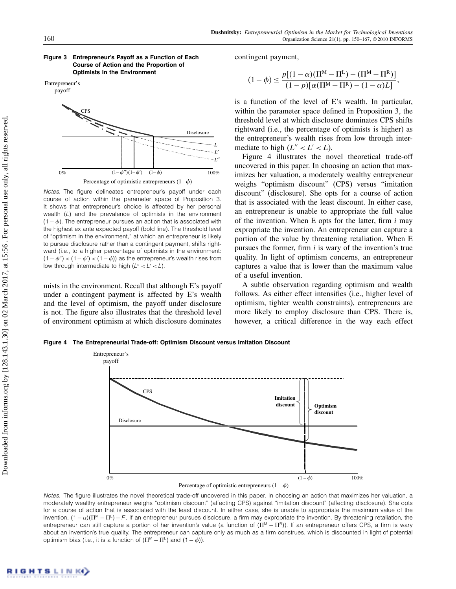

Figure 3 Entrepreneur's Payoff as a Function of Each Course of Action and the Proportion of Optimists in the Environment

Notes. The figure delineates entrepreneur's payoff under each course of action within the parameter space of Proposition 3. It shows that entrepreneur's choice is affected by her personal wealth (L) and the prevalence of optimists in the environment  $(1 - \phi)$ . The entrepreneur pursues an action that is associated with the highest ex ante expected payoff (bold line). The threshold level of "optimism in the environment," at which an entrepreneur is likely to pursue disclosure rather than a contingent payment, shifts rightward (i.e., to a higher percentage of optimists in the environment:  $(1 - \phi'')$  <  $(1 - \phi')$  <  $(1 - \phi)$ ) as the entrepreneur's wealth rises from low through intermediate to high  $(L'' < L' < L)$ .

mists in the environment. Recall that although E's payoff under a contingent payment is affected by E's wealth and the level of optimism, the payoff under disclosure is not. The figure also illustrates that the threshold level of environment optimism at which disclosure dominates contingent payment,

$$
(1 - \phi) \le \frac{p[(1 - \alpha)(\Pi^M - \Pi^L) - (\Pi^M - \Pi^R)]}{(1 - p)[\alpha(\Pi^M - \Pi^R) - (1 - \alpha)L]},
$$

is a function of the level of E's wealth. In particular, within the parameter space defined in Proposition 3, the threshold level at which disclosure dominates CPS shifts rightward (i.e., the percentage of optimists is higher) as the entrepreneur's wealth rises from low through intermediate to high  $(L'' < L' < L)$ .

Figure 4 illustrates the novel theoretical trade-off uncovered in this paper. In choosing an action that maximizes her valuation, a moderately wealthy entrepreneur weighs "optimism discount" (CPS) versus "imitation discount" (disclosure). She opts for a course of action that is associated with the least discount. In either case, an entrepreneur is unable to appropriate the full value of the invention. When E opts for the latter, firm  $i$  may expropriate the invention. An entrepreneur can capture a portion of the value by threatening retaliation. When E pursues the former, firm  $i$  is wary of the invention's true quality. In light of optimism concerns, an entrepreneur captures a value that is lower than the maximum value of a useful invention.

A subtle observation regarding optimism and wealth follows. As either effect intensifies (i.e., higher level of optimism, tighter wealth constraints), entrepreneurs are more likely to employ disclosure than CPS. There is, however, a critical difference in the way each effect

Figure 4 The Entrepreneurial Trade-off: Optimism Discount versus Imitation Discount





Notes. The figure illustrates the novel theoretical trade-off uncovered in this paper. In choosing an action that maximizes her valuation, a moderately wealthy entrepreneur weighs "optimism discount" (affecting CPS) against "imitation discount" (affecting disclosure). She opts for a course of action that is associated with the least discount. In either case, she is unable to appropriate the maximum value of the invention,  $(1-\alpha)(\Pi^M - \Pi^L) - F$ . If an entrepreneur pursues disclosure, a firm may expropriate the invention. By threatening retaliation, the entrepreneur can still capture a portion of her invention's value (a function of (II<sup>M</sup> − II<sup>R</sup>)). If an entrepreneur offers CPS, a firm is wary about an invention's true quality. The entrepreneur can capture only as much as a firm construes, which is discounted in light of potential optimism bias (i.e., it is a function of  $(\Pi^M - \Pi^L)$  and  $(1 - \phi)$ ).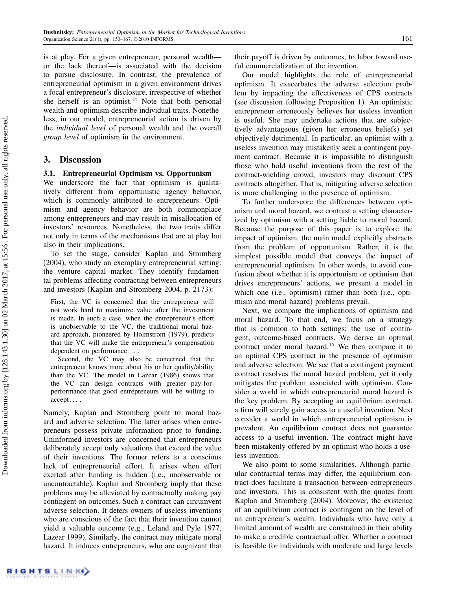is at play. For a given entrepreneur, personal wealth or the lack thereof—is associated with the decision to pursue disclosure. In contrast, the prevalence of entrepreneurial optimism in a given environment drives a focal entrepreneur's disclosure, irrespective of whether she herself is an optimist.<sup>14</sup> Note that both personal wealth and optimism describe individual traits. Nonetheless, in our model, entrepreneurial action is driven by the individual level of personal wealth and the overall group level of optimism in the environment.

# 3. Discussion

## 3.1. Entrepreneurial Optimism vs. Opportunism

We underscore the fact that optimism is qualitatively different from opportunistic agency behavior, which is commonly attributed to entrepreneurs. Optimism and agency behavior are both commonplace among entrepreneurs and may result in misallocation of investors' resources. Nonetheless, the two traits differ not only in terms of the mechanisms that are at play but also in their implications.

To set the stage, consider Kaplan and Stromberg (2004), who study an exemplary entrepreneurial setting: the venture capital market. They identify fundamental problems affecting contracting between entrepreneurs and investors (Kaplan and Stromberg 2004, p. 2173):

First, the VC is concerned that the entrepreneur will not work hard to maximize value after the investment is made. In such a case, when the entrepreneur's effort is unobservable to the VC, the traditional moral hazard approach, pioneered by Holmstrom (1979), predicts that the VC will make the entrepreneur's compensation dependent on performance....

Second, the VC may also be concerned that the entrepreneur knows more about his or her quality/ability than the VC. The model in Lazear (1986) shows that the VC can design contracts with greater pay-forperformance that good entrepreneurs will be willing to accept....

Namely, Kaplan and Stromberg point to moral hazard and adverse selection. The latter arises when entrepreneurs possess private information prior to funding. Uninformed investors are concerned that entrepreneurs deliberately accept only valuations that exceed the value of their inventions. The former refers to a conscious lack of entrepreneurial effort. It arises when effort exerted after funding is hidden (i.e., unobservable or uncontractable). Kaplan and Stromberg imply that these problems may be alleviated by contractually making pay contingent on outcomes. Such a contract can circumvent adverse selection. It deters owners of useless inventions who are conscious of the fact that their invention cannot yield a valuable outcome (e.g., Leland and Pyle 1977, Lazear 1999). Similarly, the contract may mitigate moral hazard. It induces entrepreneurs, who are cognizant that

their payoff is driven by outcomes, to labor toward useful commercialization of the invention.

Our model highlights the role of entrepreneurial optimism. It exacerbates the adverse selection problem by impacting the effectiveness of CPS contracts (see discussion following Proposition 1). An optimistic entrepreneur erroneously believes her useless invention is useful. She may undertake actions that are subjectively advantageous (given her erroneous beliefs) yet objectively detrimental. In particular, an optimist with a useless invention may mistakenly seek a contingent payment contract. Because it is impossible to distinguish those who hold useful inventions from the rest of the contract-wielding crowd, investors may discount CPS contracts altogether. That is, mitigating adverse selection is more challenging in the presence of optimism.

To further underscore the differences between optimism and moral hazard, we contrast a setting characterized by optimism with a setting liable to moral hazard. Because the purpose of this paper is to explore the impact of optimism, the main model explicitly abstracts from the problem of opportunism. Rather, it is the simplest possible model that conveys the impact of entrepreneurial optimism. In other words, to avoid confusion about whether it is opportunism or optimism that drives entrepreneurs' actions, we present a model in which one (i.e., optimism) rather than both (i.e., optimism and moral hazard) problems prevail.

Next, we compare the implications of optimism and moral hazard. To that end, we focus on a strategy that is common to both settings: the use of contingent, outcome-based contracts. We derive an optimal contract under moral hazard.<sup>15</sup> We then compare it to an optimal CPS contract in the presence of optimism and adverse selection. We see that a contingent payment contract resolves the moral hazard problem, yet it only mitigates the problem associated with optimism. Consider a world in which entrepreneurial moral hazard is the key problem. By accepting an equilibrium contract, a firm will surely gain access to a useful invention. Next consider a world in which entrepreneurial optimism is prevalent. An equilibrium contract does not guarantee access to a useful invention. The contract might have been mistakenly offered by an optimist who holds a useless invention.

We also point to some similarities. Although particular contractual terms may differ, the equilibrium contract does facilitate a transaction between entrepreneurs and investors. This is consistent with the quotes from Kaplan and Stromberg (2004). Moreover, the existence of an equilibrium contract is contingent on the level of an entrepreneur's wealth. Individuals who have only a limited amount of wealth are constrained in their ability to make a credible contractual offer. Whether a contract is feasible for individuals with moderate and large levels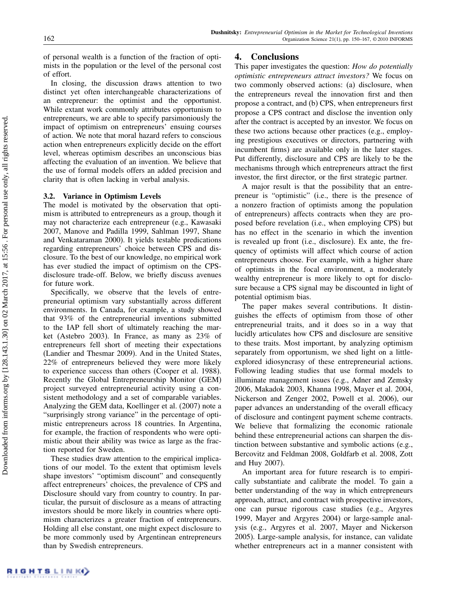of personal wealth is a function of the fraction of optimists in the population or the level of the personal cost of effort.

In closing, the discussion draws attention to two distinct yet often interchangeable characterizations of an entrepreneur: the optimist and the opportunist. While extant work commonly attributes opportunism to entrepreneurs, we are able to specify parsimoniously the impact of optimism on entrepreneurs' ensuing courses of action. We note that moral hazard refers to conscious action when entrepreneurs explicitly decide on the effort level, whereas optimism describes an unconscious bias affecting the evaluation of an invention. We believe that the use of formal models offers an added precision and clarity that is often lacking in verbal analysis.

## 3.2. Variance in Optimism Levels

The model is motivated by the observation that optimism is attributed to entrepreneurs as a group, though it may not characterize each entrepreneur (e.g., Kawasaki 2007, Manove and Padilla 1999, Sahlman 1997, Shane and Venkataraman 2000). It yields testable predications regarding entrepreneurs' choice between CPS and disclosure. To the best of our knowledge, no empirical work has ever studied the impact of optimism on the CPSdisclosure trade-off. Below, we briefly discuss avenues for future work.

Specifically, we observe that the levels of entrepreneurial optimism vary substantially across different environments. In Canada, for example, a study showed that 93% of the entrepreneurial inventions submitted to the IAP fell short of ultimately reaching the market (Astebro 2003). In France, as many as 23% of entrepreneurs fell short of meeting their expectations (Landier and Thesmar 2009). And in the United States, 22% of entrepreneurs believed they were more likely to experience success than others (Cooper et al. 1988). Recently the Global Entrepreneurship Monitor (GEM) project surveyed entrepreneurial activity using a consistent methodology and a set of comparable variables. Analyzing the GEM data, Koellinger et al. (2007) note a "surprisingly strong variance" in the percentage of optimistic entrepreneurs across 18 countries. In Argentina, for example, the fraction of respondents who were optimistic about their ability was twice as large as the fraction reported for Sweden.

These studies draw attention to the empirical implications of our model. To the extent that optimism levels shape investors' "optimism discount" and consequently affect entrepreneurs' choices, the prevalence of CPS and Disclosure should vary from country to country. In particular, the pursuit of disclosure as a means of attracting investors should be more likely in countries where optimism characterizes a greater fraction of entrepreneurs. Holding all else constant, one might expect disclosure to be more commonly used by Argentinean entrepreneurs than by Swedish entrepreneurs.

# 4. Conclusions

This paper investigates the question: How do potentially optimistic entrepreneurs attract investors? We focus on two commonly observed actions: (a) disclosure, when the entrepreneurs reveal the innovation first and then propose a contract, and (b) CPS, when entrepreneurs first propose a CPS contract and disclose the invention only after the contract is accepted by an investor. We focus on these two actions because other practices (e.g., employing prestigious executives or directors, partnering with incumbent firms) are available only in the later stages. Put differently, disclosure and CPS are likely to be the mechanisms through which entrepreneurs attract the first investor, the first director, or the first strategic partner.

A major result is that the possibility that an entrepreneur is "optimistic" (i.e., there is the presence of a nonzero fraction of optimists among the population of entrepreneurs) affects contracts when they are proposed before revelation (i.e., when employing CPS) but has no effect in the scenario in which the invention is revealed up front (i.e., disclosure). Ex ante, the frequency of optimists will affect which course of action entrepreneurs choose. For example, with a higher share of optimists in the focal environment, a moderately wealthy entrepreneur is more likely to opt for disclosure because a CPS signal may be discounted in light of potential optimism bias.

The paper makes several contributions. It distinguishes the effects of optimism from those of other entrepreneurial traits, and it does so in a way that lucidly articulates how CPS and disclosure are sensitive to these traits. Most important, by analyzing optimism separately from opportunism, we shed light on a littleexplored idiosyncrasy of these entrepreneurial actions. Following leading studies that use formal models to illuminate management issues (e.g., Adner and Zemsky 2006, Makadok 2003, Khanna 1998, Mayer et al. 2004, Nickerson and Zenger 2002, Powell et al. 2006), our paper advances an understanding of the overall efficacy of disclosure and contingent payment scheme contracts. We believe that formalizing the economic rationale behind these entrepreneurial actions can sharpen the distinction between substantive and symbolic actions (e.g., Bercovitz and Feldman 2008, Goldfarb et al. 2008, Zott and Huy 2007).

An important area for future research is to empirically substantiate and calibrate the model. To gain a better understanding of the way in which entrepreneurs approach, attract, and contract with prospective investors, one can pursue rigorous case studies (e.g., Argyres 1999, Mayer and Argyres 2004) or large-sample analysis (e.g., Argyres et al. 2007, Mayer and Nickerson 2005). Large-sample analysis, for instance, can validate whether entrepreneurs act in a manner consistent with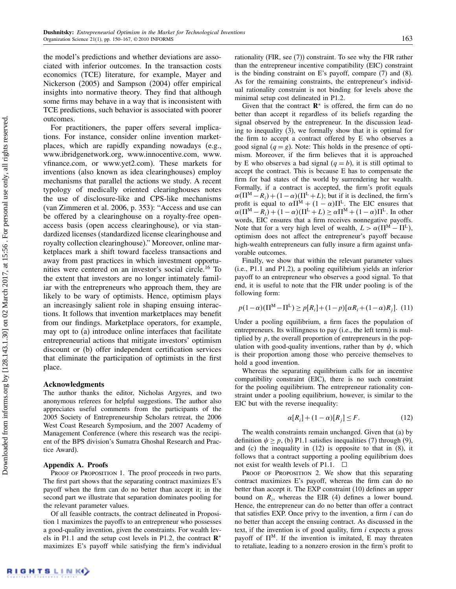the model's predictions and whether deviations are associated with inferior outcomes. In the transaction costs economics (TCE) literature, for example, Mayer and Nickerson (2005) and Sampson (2004) offer empirical insights into normative theory. They find that although some firms may behave in a way that is inconsistent with TCE predictions, such behavior is associated with poorer outcomes.

For practitioners, the paper offers several implications. For instance, consider online invention marketplaces, which are rapidly expanding nowadays (e.g., www.ibridgenetwork.org, www.innocentive.com, www. vfinance.com, or www.yet2.com). These markets for inventions (also known as idea clearinghouses) employ mechanisms that parallel the actions we study. A recent typology of medically oriented clearinghouses notes the use of disclosure-like and CPS-like mechanisms (van Zimmeren et al. 2006, p. 353): "Access and use can be offered by a clearinghouse on a royalty-free openaccess basis (open access clearinghouse), or via standardized licenses (standardized license clearinghouse and royalty collection clearinghouse)." Moreover, online marketplaces mark a shift toward faceless transactions and away from past practices in which investment opportunities were centered on an investor's social circle.<sup>16</sup> To the extent that investors are no longer intimately familiar with the entrepreneurs who approach them, they are likely to be wary of optimists. Hence, optimism plays an increasingly salient role in shaping ensuing interactions. It follows that invention marketplaces may benefit from our findings. Marketplace operators, for example, may opt to (a) introduce online interfaces that facilitate entrepreneurial actions that mitigate investors' optimism discount or (b) offer independent certification services that eliminate the participation of optimists in the first place.

## Acknowledgments

The author thanks the editor, Nicholas Argyres, and two anonymous referees for helpful suggestions. The author also appreciates useful comments from the participants of the 2005 Society of Entrepreneurship Scholars retreat, the 2006 West Coast Research Symposium, and the 2007 Academy of Management Conference (where this research was the recipient of the BPS division's Sumatra Ghoshal Research and Practice Award).

#### Appendix A. Proofs

PROOF OF PROPOSITION 1. The proof proceeds in two parts. The first part shows that the separating contract maximizes E's payoff when the firm can do no better than accept it; in the second part we illustrate that separation dominates pooling for the relevant parameter values.

Of all feasible contracts, the contract delineated in Proposition 1 maximizes the payoffs to an entrepreneur who possesses a good-quality invention, given the constraints. For wealth levels in P1.1 and the setup cost levels in P1.2, the contract  $\mathbb{R}^*$ maximizes E's payoff while satisfying the firm's individual rationality (FIR, see (7)) constraint. To see why the FIR rather than the entrepreneur incentive compatibility (EIC) constraint is the binding constraint on E's payoff, compare  $(7)$  and  $(8)$ . As for the remaining constraints, the entrepreneur's individual rationality constraint is not binding for levels above the minimal setup cost delineated in P1.2.

Given that the contract  $\mathbb{R}^*$  is offered, the firm can do no better than accept it regardless of its beliefs regarding the signal observed by the entrepreneur. In the discussion leading to inequality (3), we formally show that it is optimal for the firm to accept a contract offered by E who observes a good signal  $(q = g)$ . Note: This holds in the presence of optimism. Moreover, if the firm believes that it is approached by E who observes a bad signal  $(q = b)$ , it is still optimal to accept the contract. This is because E has to compensate the firm for bad states of the world by surrendering her wealth. Formally, if a contract is accepted, the firm's profit equals  $\alpha(\Pi^M - R_i) + (1 - \alpha)(\Pi^L + L)$ ; but if it is declined, the firm's profit is equal to  $\alpha \hat{\Pi}^{M} + (1 - \alpha) \Pi^{L}$ . The EIC ensures that  $\alpha(\Pi^M - R_i) + (1 - \alpha)(\Pi^L + L) \geq \alpha \Pi^M + (1 - \alpha)\Pi^L$ . In other words, EIC ensures that a firm receives nonnegative payoffs. Note that for a very high level of wealth,  $L > \alpha(\Pi^M - \Pi^L)$ , optimism does not affect the entrepreneur's payoff because high-wealth entrepreneurs can fully insure a firm against unfavorable outcomes.

Finally, we show that within the relevant parameter values (i.e., P1.1 and P1.2), a pooling equilibrium yields an inferior payoff to an entrepreneur who observes a good signal. To that end, it is useful to note that the FIR under pooling is of the following form:

$$
p(1-\alpha)(\Pi^M - \Pi^L) \ge p[R_i] + (1-p)[\alpha R_i + (1-\alpha)R_j]. \tag{11}
$$

Under a pooling equilibrium, a firm faces the population of entrepreneurs. Its willingness to pay (i.e., the left term) is multiplied by  $p$ , the overall proportion of entrepreneurs in the population with good-quality inventions, rather than by  $\psi$ , which is their proportion among those who perceive themselves to hold a good invention.

Whereas the separating equilibrium calls for an incentive compatibility constraint (EIC), there is no such constraint for the pooling equilibrium. The entrepreneur rationality constraint under a pooling equilibrium, however, is similar to the EIC but with the reverse inequality:

$$
\alpha[R_i] + (1 - \alpha)[R_j] \le F. \tag{12}
$$

The wealth constraints remain unchanged. Given that (a) by definition  $\psi \geq p$ , (b) P1.1 satisfies inequalities (7) through (9), and (c) the inequality in (12) is opposite to that in (8), it follows that a contract supporting a pooling equilibrium does not exist for wealth levels of P1.1.  $\Box$ 

PROOF OF PROPOSITION 2. We show that this separating contract maximizes E's payoff, whereas the firm can do no better than accept it. The EXP constraint (10) defines an upper bound on  $R_i$ , whereas the EIR (4) defines a lower bound. Hence, the entrepreneur can do no better than offer a contract that satisfies EXP. Once privy to the invention, a firm  $i$  can do no better than accept the ensuing contract. As discussed in the text, if the invention is of good quality, firm  $i$  expects a gross payoff of  $\Pi^M$ . If the invention is imitated, E may threaten to retaliate, leading to a nonzero erosion in the firm's profit to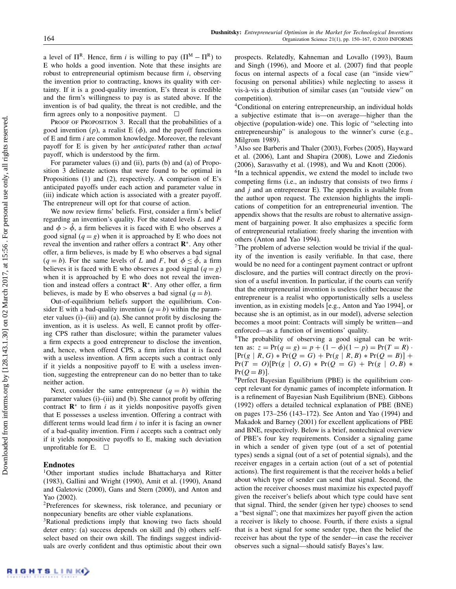a level of  $\Pi^R$ . Hence, firm *i* is willing to pay ( $\Pi^M - \Pi^R$ ) to E who holds a good invention. Note that these insights are robust to entrepreneurial optimism because firm  $i$ , observing the invention prior to contracting, knows its quality with certainty. If it is a good-quality invention, E's threat is credible and the firm's willingness to pay is as stated above. If the invention is of bad quality, the threat is not credible, and the firm agrees only to a nonpositive payment.  $\Box$ 

PROOF OF PROPOSITION 3. Recall that the probabilities of a good invention  $(p)$ , a realist E  $(\phi)$ , and the payoff functions of E and firm i are common knowledge. Moreover, the relevant payoff for E is given by her anticipated rather than actual payoff, which is understood by the firm.

For parameter values (i) and (ii), parts (b) and (a) of Proposition 3 delineate actions that were found to be optimal in Propositions (1) and (2), respectively. A comparison of E's anticipated payoffs under each action and parameter value in (iii) indicate which action is associated with a greater payoff. The entrepreneur will opt for that course of action.

We now review firms' beliefs. First, consider a firm's belief regarding an invention's quality. For the stated levels  $L$  and  $F$ and  $\phi > \hat{\phi}$ , a firm believes it is faced with E who observes a good signal  $(q = g)$  when it is approached by E who does not reveal the invention and rather offers a contract R<sup>∗</sup>. Any other offer, a firm believes, is made by E who observes a bad signal  $(q = b)$ . For the same levels of L and F, but  $\phi \leq \phi$ , a firm believes it is faced with E who observes a good signal  $(q = g)$ when it is approached by E who does not reveal the invention and instead offers a contract  $\mathbb{R}^*$ . Any other offer, a firm believes, is made by E who observes a bad signal  $(q = b)$ .

Out-of-equilibrium beliefs support the equilibrium. Consider E with a bad-quality invention  $(q = b)$  within the parameter values (i)–(iii) and (a). She cannot profit by disclosing the invention, as it is useless. As well, E cannot profit by offering CPS rather than disclosure; within the parameter values a firm expects a good entrepreneur to disclose the invention, and, hence, when offered CPS, a firm infers that it is faced with a useless invention. A firm accepts such a contract only if it yields a nonpositive payoff to E with a useless invention, suggesting the entrepreneur can do no better than to take neither action.

Next, consider the same entrepreneur  $(q = b)$  within the parameter values (i)–(iii) and (b). She cannot profit by offering contract  $\mathbb{R}^*$  to firm *i* as it yields nonpositive payoffs given that E possesses a useless invention. Offering a contract with different terms would lead firm  $i$  to infer it is facing an owner of a bad-quality invention. Firm i accepts such a contract only if it yields nonpositive payoffs to E, making such deviation unprofitable for E.  $\Box$ 

#### Endnotes

1Other important studies include Bhattacharya and Ritter (1983), Gallini and Wright (1990), Amit et al. (1990), Anand and Galetovic (2000), Gans and Stern (2000), and Anton and Yao (2002).

2Preferences for skewness, risk tolerance, and pecuniary or nonpecuniary benefits are other viable explanations.

<sup>3</sup>Rational predictions imply that knowing two facts should deter entry: (a) success depends on skill and (b) others selfselect based on their own skill. The findings suggest individuals are overly confident and thus optimistic about their own prospects. Relatedly, Kahneman and Lovallo (1993), Baum and Singh (1996), and Moore et al. (2007) find that people focus on internal aspects of a focal case (an "inside view" focusing on personal abilities) while neglecting to assess it vis-à-vis a distribution of similar cases (an "outside view" on competition).

<sup>4</sup>Conditional on entering entrepreneurship, an individual holds a subjective estimate that is—on average—higher than the objective (population-wide) one. This logic of "selecting into entrepreneurship" is analogous to the winner's curse (e.g., Milgrom 1989).

5Also see Barberis and Thaler (2003), Forbes (2005), Hayward et al. (2006), Lant and Shapira (2008), Lowe and Ziedonis (2006), Sarasvathy et al. (1998), and Wu and Knott (2006).

<sup>6</sup>In a technical appendix, we extend the model to include two competing firms (i.e., an industry that consists of two firms i and  $j$  and an entrepreneur E). The appendix is available from the author upon request. The extension highlights the implications of competition for an entrepreneurial invention. The appendix shows that the results are robust to alternative assignment of bargaining power. It also emphasizes a specific form of entrepreneurial retaliation: freely sharing the invention with others (Anton and Yao 1994).

<sup>7</sup>The problem of adverse selection would be trivial if the quality of the invention is easily verifiable. In that case, there would be no need for a contingent payment contract or upfront disclosure, and the parties will contract directly on the provision of a useful invention. In particular, if the courts can verify that the entrepreneurial invention is useless (either because the entrepreneur is a realist who opportunistically sells a useless invention, as in existing models [e.g., Anton and Yao 1994], or because she is an optimist, as in our model), adverse selection becomes a moot point: Contracts will simply be written—and enforced—as a function of inventions' quality.

8The probability of observing a good signal can be written as:  $z = Pr(q = g) = p + (1 - \phi)(1 - p) = Pr(T = R)$  $[Pr(g | R, G) * Pr(Q = G) + Pr(g | R, B) * Pr(Q = B)] +$  $Pr(T = O)[Pr(g | O, G) * Pr(Q = G) + Pr(g | O, B) * Pr(Q = B)].$ 

 $9$ Perfect Bayesian Equilibrium (PBE) is the equilibrium concept relevant for dynamic games of incomplete information. It is a refinement of Bayesian Nash Equilibrium (BNE). Gibbons (1992) offers a detailed technical explanation of PBE (BNE) on pages 173–256 (143–172). See Anton and Yao (1994) and Makadok and Barney (2001) for excellent applications of PBE and BNE, respectively. Below is a brief, nontechnical overview of PBE's four key requirements. Consider a signaling game in which a sender of given type (out of a set of potential types) sends a signal (out of a set of potential signals), and the receiver engages in a certain action (out of a set of potential actions). The first requirement is that the receiver holds a belief about which type of sender can send that signal. Second, the action the receiver chooses must maximize his expected payoff given the receiver's beliefs about which type could have sent that signal. Third, the sender (given her type) chooses to send a "best signal"; one that maximizes her payoff given the action a receiver is likely to choose. Fourth, if there exists a signal that is a best signal for some sender type, then the belief the receiver has about the type of the sender—in case the receiver observes such a signal—should satisfy Bayes's law.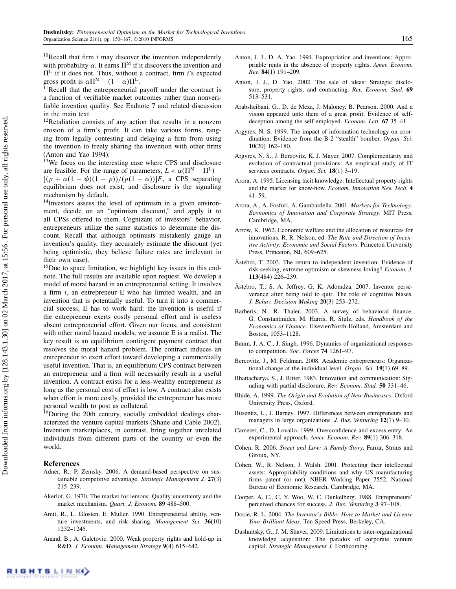<sup>10</sup>Recall that firm  $i$  may discover the invention independently with probability  $\alpha$ . It earns  $\Pi^M$  if it discovers the invention and  $\Pi^L$  if it does not. Thus, without a contract, firm *i*'s expected gross profit is  $\alpha \Pi^M + (1 - \alpha) \Pi^L$ .

 $\tilde{H}$  Recall that the entrepreneurial payoff under the contract is a function of verifiable market outcomes rather than nonverifiable invention quality. See Endnote 7 and related discussion in the main text.

<sup>12</sup>Retaliation consists of any action that results in a nonzero erosion of a firm's profit. It can take various forms, ranging from legally contesting and delaying a firm from using the invention to freely sharing the invention with other firms (Anton and Yao 1994).

<sup>13</sup>We focus on the interesting case where CPS and disclosure are feasible. For the range of parameters,  $L < \alpha(\Pi^M - \Pi^L)$  –  $[(p + \alpha(1 - \phi)(1 - p))/(p(1 - \alpha))]F$ , a CPS separating equilibrium does not exist, and disclosure is the signaling mechanism by default.

<sup>14</sup>Investors assess the level of optimism in a given environment, decide on an "optimism discount," and apply it to all CPSs offered to them. Cognizant of investors' behavior, entrepreneurs utilize the same statistics to determine the discount. Recall that although optimists mistakenly gauge an invention's quality, they accurately estimate the discount (yet being optimistic, they believe failure rates are irrelevant in their own case).

<sup>15</sup>Due to space limitation, we highlight key issues in this endnote. The full results are available upon request. We develop a model of moral hazard in an entrepreneurial setting. It involves a firm i, an entrepreneur E who has limited wealth, and an invention that is potentially useful. To turn it into a commercial success, E has to work hard; the invention is useful if the entrepreneur exerts costly personal effort and is useless absent entrepreneurial effort. Given our focus, and consistent with other moral hazard models, we assume E is a realist. The key result is an equilibrium contingent payment contract that resolves the moral hazard problem. The contract induces an entrepreneur to exert effort toward developing a commercially useful invention. That is, an equilibrium CPS contract between an entrepreneur and a firm will necessarily result in a useful invention. A contract exists for a less-wealthy entrepreneur as long as the personal cost of effort is low. A contract also exists when effort is more costly, provided the entrepreneur has more personal wealth to post as collateral.

<sup>16</sup>During the 20th century, socially embedded dealings characterized the venture capital markets (Shane and Cable 2002). Invention marketplaces, in contrast, bring together unrelated individuals from different parts of the country or even the world.

#### References

- Adner, R., P. Zemsky. 2006. A demand-based perspective on sustainable competitive advantage. Strategic Management J. 27(3) 215–239.
- Akerlof, G. 1970. The market for lemons: Quality uncertainty and the market mechanism. Quart. J. Econom. 89 488–500.
- Amit, R., L. Glosten, E. Muller. 1990. Entrepreneurial ability, venture investments, and risk sharing. Management Sci. 36(10) 1232–1245.
- Anand, B., A. Galetovic. 2000. Weak property rights and hold-up in R&D. J. Econom. Management Strategy 9(4) 615–642.
- Anton, J. J., D. A. Yao. 1994. Expropriation and inventions: Appropriable rents in the absence of property rights. Amer. Econom. Rev. 84(1) 191–209.
- Anton, J. J., D. Yao. 2002. The sale of ideas: Strategic disclosure, property rights, and contracting. Rev. Econom. Stud. 69 513–531.
- Arabsheibani, G., D. de Meza, J. Maloney, B. Pearson. 2000. And a vision appeared unto them of a great profit: Evidence of selfdeception among the self-employed. Econom. Lett. 67 35–41.
- Argyres, N. S. 1999. The impact of information technology on coordination: Evidence from the B-2 "stealth" bomber. Organ. Sci. 10(20) 162–180.
- Argyres, N. S., J. Bercovitz, K. J. Mayer. 2007. Complementarity and evolution of contractual provisions: An empirical study of IT services contracts. Organ. Sci. 18(1) 3-19.
- Arora, A. 1995. Licensing tacit knowledge: Intellectual property rights and the market for know-how. Econom. Innovation New Tech. 4 41–59.
- Arora, A., A. Fosfuri, A. Gambardella. 2001. Markets for Technology: Economics of Innovation and Corporate Strategy. MIT Press, Cambridge, MA.
- Arrow, K. 1962. Economic welfare and the allocation of resources for innovations. R. R. Nelson, ed. The Rate and Direction of Incentive Activity: Economic and Social Factors. Princeton University Press, Princeton, NJ, 609–625.
- Åstebro, T. 2003. The return to independent invention: Evidence of risk seeking, extreme optimism or skewness-loving? Econom. J. 113(484) 226–239.
- Åstebro, T., S. A. Jeffrey, G. K. Adomdza. 2007. Inventor perseverance after being told to quit: The role of cognitive biases. J. Behav. Decision Making 20(3) 253–272.
- Barberis, N., R. Thaler. 2003. A survey of behavioral finance. G. Constantinides, M. Harris, R. Stulz, eds. Handbook of the Economics of Finance. Elsevier/North-Holland, Amsterdam and Boston, 1053–1128.
- Baum, J. A. C., J. Singh. 1996. Dynamics of organizational responses to competition. Soc. Forces 74 1261–97.
- Bercovitz, J., M. Feldman. 2008. Academic entrepreneurs: Organizational change at the individual level. Organ. Sci. 19(1) 69–89.
- Bhattacharya, S., J. Ritter. 1983. Innovation and communication: Signaling with partial disclosure. Rev. Econom. Stud. 50 331–46.
- Bhide, A. 1999. The Origin and Evolution of New Businesses. Oxford University Press, Oxford.
- Busenitz, L., J. Barney. 1997. Differences between entrepreneurs and managers in large organizations. J. Bus. Venturing 12(1) 9–30.
- Camerer, C., D. Lovallo. 1999. Overconfidence and excess entry: An experimental approach. Amer. Econom. Rev. 89(1) 306–318.
- Cohen, R. 2006. Sweet and Low: A Family Story. Farrar, Straus and Giroux, NY.
- Cohen, W., R. Nelson, J. Walsh. 2001. Protecting their intellectual assets: Appropriability conditions and why US manufacturing firms patent (or not). NBER Working Paper 7552, National Bureau of Economic Research, Cambridge, MA.
- Cooper, A. C., C. Y. Woo, W. C. Dunkelberg. 1988. Entrepreneurs' perceived chances for success. J. Bus. Venturing 3 97–108.
- Docie, R. L. 2004. The Inventor's Bible: How to Market and License Your Brilliant Ideas. Ten Speed Press, Berkeley, CA.
- Dushnitsky, G., J. M. Shaver. 2009. Limitations to inter-organizational knowledge acquisition: The paradox of corporate venture capital. Strategic Management J. Forthcoming.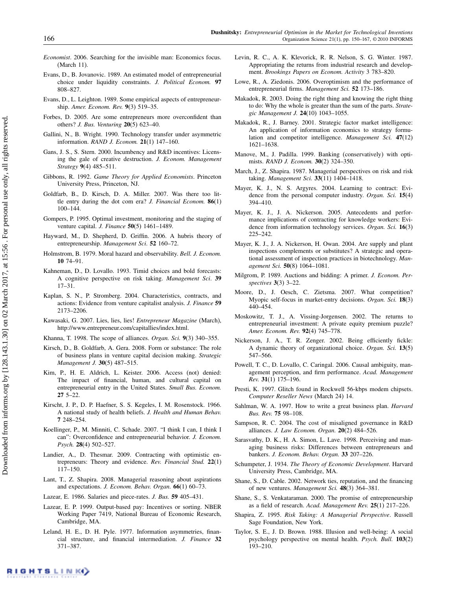- Economist. 2006. Searching for the invisible man: Economics focus. (March 11).
- Evans, D., B. Jovanovic. 1989. An estimated model of entrepreneurial choice under liquidity constraints. J. Political Econom. 97 808–827.
- Evans, D., L. Leighton. 1989. Some empirical aspects of entrepreneurship. Amer. Econom. Rev. 9(3) 519–35.
- Forbes, D. 2005. Are some entrepreneurs more overconfident than others? J. Bus. Venturing 20(5) 623–40.
- Gallini, N., B. Wright. 1990. Technology transfer under asymmetric information. RAND J. Econom. 21(1) 147–160.
- Gans, J. S., S. Stern. 2000. Incumbency and R&D incentives: Licensing the gale of creative destruction. J. Econom. Management Strategy 9(4) 485–511.
- Gibbons, R. 1992. Game Theory for Applied Economists. Princeton University Press, Princeton, NJ.
- Goldfarb, B., D. Kirsch, D. A. Miller. 2007. Was there too little entry during the dot com era? *J. Financial Econom.*  $86(1)$ 100–144.
- Gompers, P. 1995. Optimal investment, monitoring and the staging of venture capital. J. Finance 50(5) 1461–1489.
- Hayward, M., D. Shepherd, D. Griffin. 2006. A hubris theory of entrepreneurship. Management Sci. 52 160-72.
- Holmstrom, B. 1979. Moral hazard and observability. Bell. J. Econom. 10 74–91.
- Kahneman, D., D. Lovallo. 1993. Timid choices and bold forecasts: A cognitive perspective on risk taking. Management Sci. 39 17–31.
- Kaplan, S. N., P. Stromberg. 2004. Characteristics, contracts, and actions: Evidence from venture capitalist analysis. J. Finance 59 2173–2206.
- Kawasaki, G. 2007. Lies, lies, lies! Entrepreneur Magazine (March), http://www.entrepreneur.com/capitallies/index.html.
- Khanna, T. 1998. The scope of alliances. Organ. Sci. 9(3) 340–355.
- Kirsch, D., B. Goldfarb, A. Gera. 2008. Form or substance: The role of business plans in venture capital decision making. Strategic Management J. 30(5) 487–515.
- Kim, P., H. E. Aldrich, L. Keister. 2006. Access (not) denied: The impact of financial, human, and cultural capital on entrepreneurial entry in the United States. Small Bus. Econom. 27 5–22.
- Kirscht, J. P., D. P. Haefner, S. S. Kegeles, I. M. Rosenstock. 1966. A national study of health beliefs. J. Health and Human Behav. 7 248–254.
- Koellinger, P., M. Minniti, C. Schade. 2007. "I think I can, I think I can": Overconfidence and entrepreneurial behavior. J. Econom. Psych. 28(4) 502–527.
- Landier, A., D. Thesmar. 2009. Contracting with optimistic entrepreneurs: Theory and evidence. Rev. Financial Stud. 22(1) 117–150.
- Lant, T., Z. Shapira. 2008. Managerial reasoning about aspirations and expectations. J. Econom. Behav. Organ. 66(1) 60-73.
- Lazear, E. 1986. Salaries and piece-rates. J. Bus. 59 405–431.
- Lazear, E. P. 1999. Output-based pay: Incentives or sorting. NBER Working Paper 7419, National Bureau of Economic Research, Cambridge, MA.
- Leland, H. E., D. H. Pyle. 1977. Information asymmetries, financial structure, and financial intermediation. J. Finance 32 371–387.
- Levin, R. C., A. K. Klevorick, R. R. Nelson, S. G. Winter. 1987. Appropriating the returns from industrial research and development. Brookings Papers on Econom. Activity 3 783–820.
- Lowe, R., A. Ziedonis. 2006. Overoptimism and the performance of entrepreneurial firms. Management Sci. 52 173–186.
- Makadok, R. 2003. Doing the right thing and knowing the right thing to do: Why the whole is greater than the sum of the parts. Strategic Management J. 24(10) 1043–1055.
- Makadok, R., J. Barney. 2001. Strategic factor market intelligence: An application of information economics to strategy formulation and competitor intelligence. Management Sci. 47(12) 1621–1638.
- Manove, M., J. Padilla. 1999. Banking (conservatively) with optimists. RAND J. Econom. 30(2) 324–350.
- March, J., Z. Shapira. 1987. Managerial perspectives on risk and risk taking. Management Sci. 33(11) 1404–1418.
- Mayer, K. J., N. S. Argyres. 2004. Learning to contract: Evidence from the personal computer industry. Organ. Sci. 15(4) 394–410.
- Mayer, K. J., J. A. Nickerson. 2005. Antecedents and performance implications of contracting for knowledge workers: Evidence from information technology services. Organ. Sci. 16(3) 225–242.
- Mayer, K. J., J. A. Nickerson, H. Owan. 2004. Are supply and plant inspections complements or substitutes? A strategic and operational assessment of inspection practices in biotechnology. Management Sci. 50(8) 1064–1081.
- Milgrom, P. 1989. Auctions and bidding: A primer. J. Econom. Perspectives 3(3) 3–22.
- Moore, D., J. Oesch, C. Zietsma. 2007. What competition? Myopic self-focus in market-entry decisions. Organ. Sci. 18(3) 440–454.
- Moskowitz, T. J., A. Vissing-Jorgensen. 2002. The returns to entrepreneurial investment: A private equity premium puzzle? Amer. Econom. Rev. 92(4) 745–778.
- Nickerson, J. A., T. R. Zenger. 2002. Being efficiently fickle: A dynamic theory of organizational choice. Organ. Sci. 13(5) 547–566.
- Powell, T. C., D. Lovallo, C. Caringal. 2006. Causal ambiguity, management perception, and firm performance. Acad. Management Rev. 31(1) 175–196.
- Presti, K. 1997. Glitch found in Rockwell 56-kbps modem chipsets. Computer Reseller News (March 24) 14.
- Sahlman, W. A. 1997. How to write a great business plan. *Harvard* Bus. Rev. 75 98–108.
- Sampson, R. C. 2004. The cost of misaligned governance in R&D alliances. J. Law Econom. Organ. 20(2) 484–526.
- Sarasvathy, D. K., H. A. Simon, L. Lave. 1998. Perceiving and managing business risks: Differences between entrepreneurs and bankers. J. Econom. Behav. Organ. 33 207–226.
- Schumpeter, J. 1934. The Theory of Economic Development. Harvard University Press, Cambridge, MA.
- Shane, S., D. Cable. 2002. Network ties, reputation, and the financing of new ventures. Management Sci. 48(3) 364–381.
- Shane, S., S. Venkataraman. 2000. The promise of entrepreneurship as a field of research. Acad. Management Rev. 25(1) 217-226.
- Shapira, Z. 1995. Risk Taking: A Managerial Perspective. Russell Sage Foundation, New York.
- Taylor, S. E., J. D. Brown. 1988. Illusion and well-being: A social psychology perspective on mental health. Psych. Bull. 103(2) 193–210.